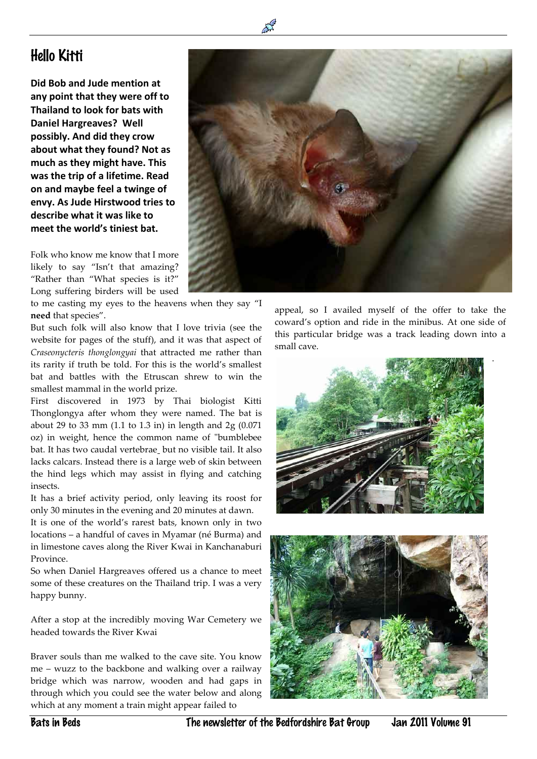## Hello Kitti

 $\overline{a}$ 

**Did Bob and Jude mention at any point that they were off to Thailand to look for bats with Daniel Hargreaves? Well possibly. And did they crow about what they found? Not as much as they might have. This was the trip of a lifetime. Read on and maybe feel a twinge of envy. As Jude Hirstwood tries to describe what it was like to meet the world's tiniest bat.**

Folk who know me know that I more likely to say "Isn't that amazing? "Rather than "What species is it?" Long suffering birders will be used

to me casting my eyes to the heavens when they say "I **need** that species".

But such folk will also know that I love trivia (see the website for pages of the stuff), and it was that aspect of *Craseonycteris thonglongyai* that attracted me rather than its rarity if truth be told. For this is the world's smallest bat and battles with the Etruscan shrew to win the smallest mammal in the world prize.

First discovered in 1973 by Thai biologist Kitti Thonglongya after whom they were named. The bat is about 29 to 33 mm (1.1 to 1.3 in) in length and 2g (0.071 oz) in weight, hence the common name of ["bumblebee](http://en.wikipedia.org/wiki/Bumblebee) bat. It has two caudal [vertebrae](http://en.wikipedia.org/wiki/Vertebra)\_but no visible tail. It also lacks calcars. Instead there is a large web of skin between the hind legs which may assist in flying and catching insects.

It has a brief activity period, only leaving its roost for only 30 minutes in the evening and 20 minutes at dawn.

It is one of the world's rarest bats, known only in two locations – a handful of caves in Myamar (né Burma) and in limestone caves along the River Kwai in Kanchanaburi Province.

So when Daniel Hargreaves offered us a chance to meet some of these creatures on the Thailand trip. I was a very happy bunny.

After a stop at the incredibly moving War Cemetery we headed towards the River Kwai

Braver souls than me walked to the cave site. You know me – wuzz to the backbone and walking over a railway bridge which was narrow, wooden and had gaps in through which you could see the water below and along which at any moment a train might appear failed to



appeal, so I availed myself of the offer to take the coward's option and ride in the minibus. At one side of this particular bridge was a track leading down into a small cave.

.



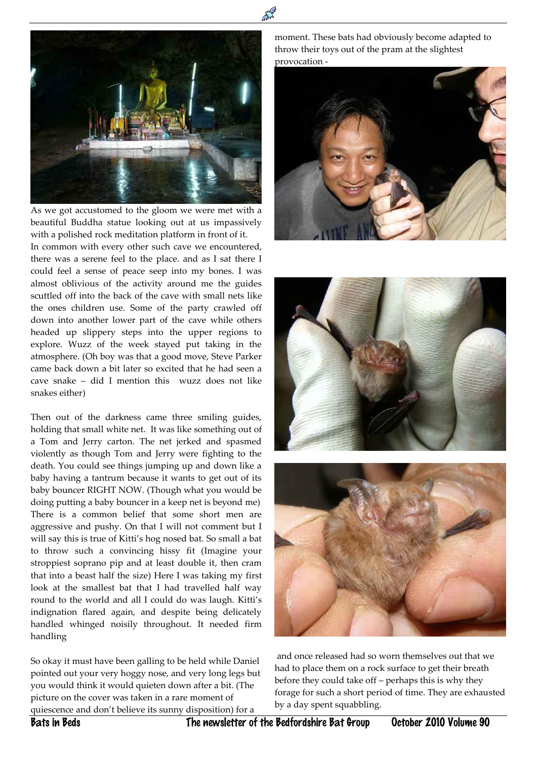

 $\overline{a}$ 

As we got accustomed to the gloom we were met with a beautiful Buddha statue looking out at us impassively with a polished rock meditation platform in front of it.

In common with every other such cave we encountered, there was a serene feel to the place. and as I sat there I could feel a sense of peace seep into my bones. I was almost oblivious of the activity around me the guides scuttled off into the back of the cave with small nets like the ones children use. Some of the party crawled off down into another lower part of the cave while others headed up slippery steps into the upper regions to explore. Wuzz of the week stayed put taking in the atmosphere. (Oh boy was that a good move, Steve Parker came back down a bit later so excited that he had seen a cave snake – did I mention this wuzz does not like snakes either)

Then out of the darkness came three smiling guides, holding that small white net. It was like something out of a Tom and Jerry carton. The net jerked and spasmed violently as though Tom and Jerry were fighting to the death. You could see things jumping up and down like a baby having a tantrum because it wants to get out of its baby bouncer RIGHT NOW. (Though what you would be doing putting a baby bouncer in a keep net is beyond me) There is a common belief that some short men are aggressive and pushy. On that I will not comment but I will say this is true of Kitti's hog nosed bat. So small a bat to throw such a convincing hissy fit (Imagine your stroppiest soprano pip and at least double it, then cram that into a beast half the size) Here I was taking my first look at the smallest bat that I had travelled half way round to the world and all I could do was laugh. Kitti's indignation flared again, and despite being delicately handled whinged noisily throughout. It needed firm handling

So okay it must have been galling to be held while Daniel pointed out your very hoggy nose, and very long legs but you would think it would quieten down after a bit. (The picture on the cover was taken in a rare moment of quiescence and don't believe its sunny disposition) for a

moment. These bats had obviously become adapted to throw their toys out of the pram at the slightest provocation -







and once released had so worn themselves out that we had to place them on a rock surface to get their breath before they could take off – perhaps this is why they forage for such a short period of time. They are exhausted by a day spent squabbling.